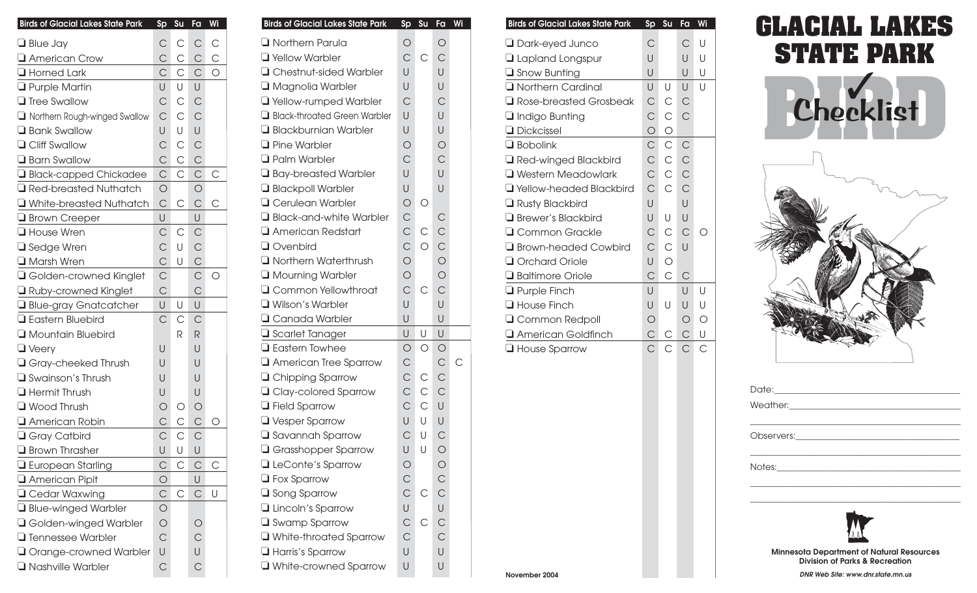| <b>Birds of Glacial Lakes State Park</b> | Sp             | Su           | Fa             | Wi             |
|------------------------------------------|----------------|--------------|----------------|----------------|
| $\Box$ Blue Jay                          | С              | $\mathsf{C}$ | $\mathsf{C}$   | $\mathsf{C}$   |
| American Crow                            | $\mathsf{C}$   | $\mathsf{C}$ | $\mathsf{C}$   | $\mathsf{C}$   |
| Horned Lark                              | $\mathsf{C}$   | $\mathsf{C}$ | $\mathsf{C}$   | $\overline{O}$ |
| <b>Q</b> Purple Martin                   | U              | U            | U              |                |
| <b>Tree Swallow</b>                      | $\overline{C}$ | $\mathsf{C}$ | $\mathsf{C}$   |                |
| Northern Rough-winged Swallow            | $\mathsf{C}$   | $\mathsf{C}$ | $\mathsf{C}$   |                |
| <b>Bank Swallow</b>                      | U              | U            | U              |                |
| <b>Q</b> Cliff Swallow                   | $\overline{C}$ | $\mathsf{C}$ | $\mathsf{C}$   |                |
| <b>Barn Swallow</b>                      | $\mathsf{C}$   | $\mathsf{C}$ | $\mathsf{C}$   |                |
| Black-capped Chickadee                   | $\mathsf C$    | $\mathsf{C}$ | $\mathsf{C}$   | С              |
| Red-breasted Nuthatch                    | $\bigcirc$     |              | $\bigcirc$     |                |
| White-breasted Nuthatch                  | $\overline{C}$ | С            | $\mathsf{C}$   | С              |
| <b>Brown Creeper</b>                     | U              |              | U              |                |
| House Wren                               | $\mathsf{C}$   | С            | $\mathsf{C}$   |                |
| □ Sedge Wren                             | $\mathsf{C}$   | U            | $\mathsf{C}$   |                |
| <b>I</b> Marsh Wren                      | $\mathsf{C}$   | U            | $\mathsf{C}$   |                |
| Golden-crowned Kinglet                   | $\overline{C}$ |              | $\mathsf{C}$   | $\bigcirc$     |
| Ruby-crowned Kinglet                     | $\mathsf{C}$   |              | $\mathsf{C}$   |                |
| Blue-gray Gnatcatcher                    | U              | U            | U              |                |
| <b>Eastern Bluebird</b>                  | $\mathsf{C}$   | $\mathsf{C}$ | $\mathsf{C}$   |                |
| Mountain Bluebird                        |                | R            | R              |                |
| $\Box$ Veery                             | U              |              | U              |                |
| Gray-cheeked Thrush                      | U              |              | U              |                |
| Swainson's Thrush                        | U              |              | U              |                |
| $\Box$ Hermit Thrush                     | U              |              | U              |                |
| Wood Thrush                              | $\bigcirc$     | О            | $\bigcirc$     |                |
| American Robin                           | $\mathsf{C}$   | $\mathsf{C}$ | $\mathsf{C}$   | О              |
| Gray Catbird                             | $\mathsf{C}$   | $\mathsf{C}$ | $\mathsf{C}$   |                |
| $\Box$ Brown Thrasher                    | U              | U            | $\bigcup$      |                |
| $\Box$ European Starling                 | $\mathsf{C}$   | С            | $\mathsf{C}$   | $\mathsf{C}$   |
| American Pipit                           | $\circ$        |              | U              |                |
| <b>Q</b> Cedar Waxwing                   | $\mathsf{C}$   | $\mathsf{C}$ | $\mathsf{C}$   | U              |
| Blue-winged Warbler                      | $\bigcirc$     |              |                |                |
| Golden-winged Warbler                    | $\bigcirc$     |              | $\bigcirc$     |                |
| <b>T</b> Tennessee Warbler               | $\overline{C}$ |              | $\mathsf{C}$   |                |
| <b>J</b> Orange-crowned Warbler          | U              |              | U              |                |
| Nashville Warbler                        | $\overline{C}$ |              | $\overline{C}$ |                |

| <b>Birds of Glacial Lakes State Park</b>         | Sp                             | Su           | $F\overline{a}$ | Wi |
|--------------------------------------------------|--------------------------------|--------------|-----------------|----|
| <b>Northern Parula</b>                           | $\bigcirc$                     |              | $\bigcirc$      |    |
| <b>T</b> Yellow Warbler                          | $\overline{C}$                 | C            | $\mathsf{C}$    |    |
| □ Chestnut-sided Warbler                         | U                              |              | U               |    |
| Magnolia Warbler                                 | U                              |              | U               |    |
| Vellow-rumped Warbler                            | $\mathsf{C}$                   |              | $\mathsf{C}$    |    |
| Black-throated Green Warbler                     | U                              |              | U               |    |
| <b>Blackburnian Warbler</b>                      | U                              |              | U               |    |
| <b>T</b> Pine Warbler                            | $\circ$                        |              | $\bigcirc$      |    |
| <b>Q</b> Palm Warbler                            | $\mathsf{C}$                   |              | $\mathsf{C}$    |    |
| <b>J</b> Bay-breasted Warbler                    | U                              |              | U               |    |
| <b>Blackpoll Warbler</b>                         | U                              |              | U               |    |
| <b>Q</b> Cerulean Warbler                        | $\circ$                        | Ω            |                 |    |
| Black-and-white Warbler                          | $\mathsf{C}$                   |              | $\mathsf{C}$    |    |
| American Redstart                                | $\mathsf{C}$                   | $\mathsf{C}$ | $\mathsf{C}$    |    |
| $\Box$ Ovenbird                                  | $\mathsf{C}$                   | $\circ$      | $\overline{C}$  |    |
| <b>Northern Waterthrush</b>                      | $\circ$                        |              | $\circ$         |    |
| <b>I</b> Mourning Warbler                        | $\bigcirc$                     |              | $\circ$         |    |
| <b>Q</b> Common Yellowthroat                     | $\overline{C}$                 | С            | $\overline{C}$  |    |
| Wilson's Warbler                                 | U                              |              | U               |    |
| Q Canada Warbler                                 | U                              |              | U               |    |
| $\Box$ Scarlet Tanager                           | U                              | U            | U               |    |
| $\Box$ Eastern Towhee                            | $\bigcirc$                     | $\circ$      | $\bigcirc$      |    |
| American Tree Sparrow                            | $\mathsf{C}$                   |              | $\mathsf{C}$    | С  |
| <b>Q</b> Chipping Sparrow                        | $\mathsf{C}$                   | С            | $\mathsf{C}$    |    |
| <b>Q</b> Clay-colored Sparrow                    | $\mathsf{C}$                   | $\mathsf{C}$ | $\mathsf{C}$    |    |
| <b>T</b> Field Sparrow                           | $\overline{C}$                 | $\mathsf{C}$ | U               |    |
| U Vesper Sparrow                                 | U                              | U            | U               |    |
| Savannah Sparrow                                 | $\overline{C}$                 | U            | $\mathsf{C}$    |    |
| <b>Grasshopper Sparrow</b>                       | U                              | U            | $\bigcirc$      |    |
| LeConte's Sparrow                                | $\bigcirc$                     |              | $\circ$ C       |    |
| $\Box$ Fox Sparrow                               | $\mathsf{C}$<br>$\overline{C}$ | C            |                 |    |
| $\Box$ Song Sparrow                              |                                |              | U               |    |
| <b>Lincoln's Sparrow</b>                         | U<br>$\mathsf{C}$              | C            | $\mathsf{C}$    |    |
| <b>Swamp Sparrow</b>                             | $\mathsf{C}$                   |              | $\mathsf{C}$    |    |
| White-throated Sparrow                           | U                              |              | U               |    |
| $\Box$ Harris's Sparrow<br>White-crowned Sparrow | U                              |              | U               |    |
|                                                  |                                |              |                 |    |

| <b>Birds of Glacial Lakes State Park</b> | Sp             | Su           | Fa             | Wi      |
|------------------------------------------|----------------|--------------|----------------|---------|
| $\Box$ Dark-eyed Junco                   | C              |              | C              | U       |
| <b>Lapland Longspur</b>                  | $\cup$         |              | $\cup$         | Ū       |
| $\Box$ Snow Bunting                      | U              |              | U              | U       |
| <b>T</b> Northern Cardinal               | U              | U            | U              | U       |
| $\Box$ Rose-breasted Grosbeak            | $\mathsf{C}$   | $\mathsf{C}$ | $\mathsf{C}$   |         |
| $\Box$ Indigo Bunting                    | $\mathsf{C}$   | $\mathsf{C}$ | C              |         |
| <b>Dickcissel</b>                        | $\bigcirc$     | $\circ$      |                |         |
| $\Box$ Bobolink                          | $\mathsf{C}$   | $\mathsf{C}$ | $\mathsf{C}$   |         |
| Red-winged Blackbird                     | $\mathsf C$    | $\mathsf{C}$ | $\mathsf{C}$   |         |
| <b>U</b> Western Meadowlark              | $\mathsf{C}$   | $\mathsf{C}$ | $\mathsf{C}$   |         |
| Vellow-headed Blackbird                  | $\overline{C}$ | C            | $\overline{C}$ |         |
| $\Box$ Rusty Blackbird                   | $\cup$         |              | U              |         |
| <b>Brewer's Blackbird</b>                | U              | U            | U              |         |
| Q Common Grackle                         | $\mathsf{C}$   | $\mathsf{C}$ | $\overline{C}$ | ∩       |
| <b>□</b> Brown-headed Cowbird            | $\overline{C}$ | $\mathsf{C}$ | U              |         |
| Orchard Oriole                           | U              | $\bigcirc$   |                |         |
| Baltimore Oriole                         | $\mathsf{C}$   | $\mathsf{C}$ | $\mathsf{C}$   |         |
| $\Box$ Purple Finch                      | U              |              | U              | U       |
| House Finch                              | U              | U            | U              | U       |
| <b>Q</b> Common Redpoll                  | $\bigcirc$     |              | $\circ$        | $\circ$ |
| <b>□ American Goldfinch</b>              | $\mathsf{C}$   | С            | $\mathsf{C}$   | U       |
| <b>House Sparrow</b>                     | C              |              | C              | C       |

## **GLACIAL LAKES STATE PARK**





| Date: 2008 |  |  |
|------------|--|--|
|            |  |  |
|            |  |  |
|            |  |  |
|            |  |  |
|            |  |  |
|            |  |  |
|            |  |  |
|            |  |  |



**Minnesota Department of Natural Resources Division of Parks & Recreation** 

**DNR Web Site: [www.dnr.state.mn.us](http://www.dnr.state.mn.us)**